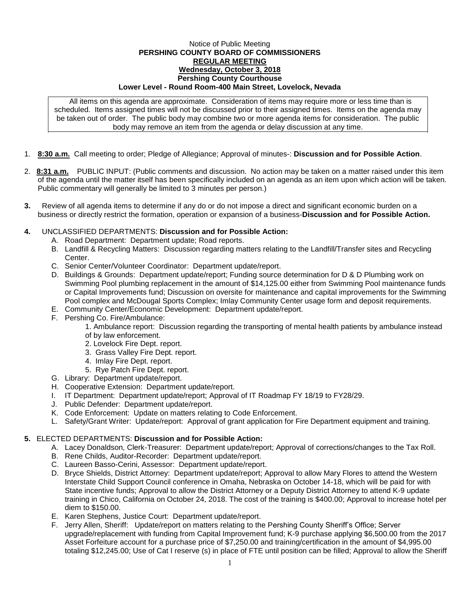## Notice of Public Meeting **PERSHING COUNTY BOARD OF COMMISSIONERS REGULAR MEETING Wednesday, October 3, 2018 Pershing County Courthouse Lower Level - Round Room-400 Main Street, Lovelock, Nevada**

All items on this agenda are approximate. Consideration of items may require more or less time than is scheduled. Items assigned times will not be discussed prior to their assigned times. Items on the agenda may be taken out of order. The public body may combine two or more agenda items for consideration. The public body may remove an item from the agenda or delay discussion at any time.

- 1. **8:30 a.m.** Call meeting to order; Pledge of Allegiance; Approval of minutes-: **Discussion and for Possible Action**.
- 2. **8:31 a.m.** PUBLIC INPUT: (Public comments and discussion. No action may be taken on a matter raised under this item of the agenda until the matter itself has been specifically included on an agenda as an item upon which action will be taken. Public commentary will generally be limited to 3 minutes per person.)
- **3.** Review of all agenda items to determine if any do or do not impose a direct and significant economic burden on a business or directly restrict the formation, operation or expansion of a business-**Discussion and for Possible Action.**

## **4.** UNCLASSIFIED DEPARTMENTS: **Discussion and for Possible Action:**

- A. Road Department: Department update; Road reports.
- B. Landfill & Recycling Matters: Discussion regarding matters relating to the Landfill/Transfer sites and Recycling Center.
- C. Senior Center/Volunteer Coordinator: Department update/report.
- D. Buildings & Grounds: Department update/report; Funding source determination for D & D Plumbing work on Swimming Pool plumbing replacement in the amount of \$14,125.00 either from Swimming Pool maintenance funds or Capital Improvements fund; Discussion on oversite for maintenance and capital improvements for the Swimming Pool complex and McDougal Sports Complex; Imlay Community Center usage form and deposit requirements.
- E. Community Center/Economic Development: Department update/report.
- F. Pershing Co. Fire/Ambulance:

1. Ambulance report: Discussion regarding the transporting of mental health patients by ambulance instead

- of by law enforcement.
- 2. Lovelock Fire Dept. report.
- 3. Grass Valley Fire Dept. report.
- 4. Imlay Fire Dept. report.
- 5. Rye Patch Fire Dept. report.
- G. Library: Department update/report.
- H. Cooperative Extension: Department update/report.
- I. IT Department: Department update/report; Approval of IT Roadmap FY 18/19 to FY28/29.
- J. Public Defender: Department update/report.
- K. Code Enforcement: Update on matters relating to Code Enforcement.
- L. Safety/Grant Writer: Update/report: Approval of grant application for Fire Department equipment and training.

## **5.** ELECTED DEPARTMENTS: **Discussion and for Possible Action:**

- A. Lacey Donaldson, Clerk-Treasurer: Department update/report; Approval of corrections/changes to the Tax Roll.
- B. Rene Childs, Auditor-Recorder: Department update/report.
- C. Laureen Basso-Cerini, Assessor: Department update/report.
- D. Bryce Shields, District Attorney: Department update/report; Approval to allow Mary Flores to attend the Western Interstate Child Support Council conference in Omaha, Nebraska on October 14-18, which will be paid for with State incentive funds; Approval to allow the District Attorney or a Deputy District Attorney to attend K-9 update training in Chico, California on October 24, 2018. The cost of the training is \$400.00; Approval to increase hotel per diem to \$150.00.
- E. Karen Stephens, Justice Court: Department update/report.
- F. Jerry Allen, Sheriff: Update/report on matters relating to the Pershing County Sheriff's Office; Server upgrade/replacement with funding from Capital Improvement fund; K-9 purchase applying \$6,500.00 from the 2017 Asset Forfeiture account for a purchase price of \$7,250.00 and training/certification in the amount of \$4,995.00 totaling \$12,245.00; Use of Cat I reserve (s) in place of FTE until position can be filled; Approval to allow the Sheriff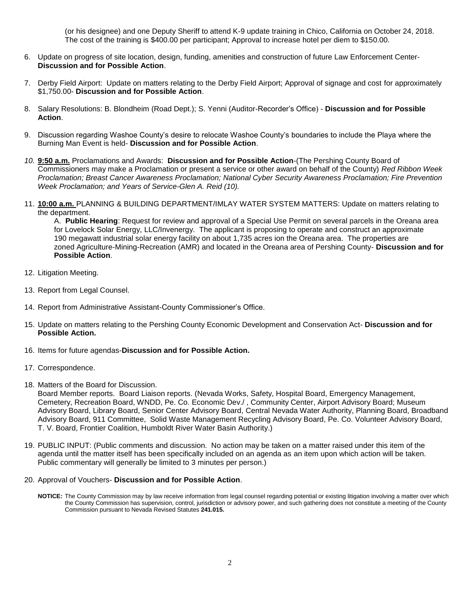(or his designee) and one Deputy Sheriff to attend K-9 update training in Chico, California on October 24, 2018. The cost of the training is \$400.00 per participant; Approval to increase hotel per diem to \$150.00.

- 6. Update on progress of site location, design, funding, amenities and construction of future Law Enforcement Center-**Discussion and for Possible Action**.
- 7. Derby Field Airport: Update on matters relating to the Derby Field Airport; Approval of signage and cost for approximately \$1,750.00- **Discussion and for Possible Action**.
- 8. Salary Resolutions: B. Blondheim (Road Dept.); S. Yenni (Auditor-Recorder's Office) **Discussion and for Possible Action**.
- 9. Discussion regarding Washoe County's desire to relocate Washoe County's boundaries to include the Playa where the Burning Man Event is held- **Discussion and for Possible Action**.
- *10.* **9:50 a.m.** Proclamations and Awards: **Discussion and for Possible Action**-(The Pershing County Board of Commissioners may make a Proclamation or present a service or other award on behalf of the County) *Red Ribbon Week Proclamation; Breast Cancer Awareness Proclamation; National Cyber Security Awareness Proclamation; Fire Prevention Week Proclamation; and Years of Service-Glen A. Reid (10).*
- 11. **10:00 a.m.** PLANNING & BUILDING DEPARTMENT/IMLAY WATER SYSTEM MATTERS: Update on matters relating to the department.

A. **Public Hearing**: Request for review and approval of a Special Use Permit on several parcels in the Oreana area for Lovelock Solar Energy, LLC/Invenergy. The applicant is proposing to operate and construct an approximate 190 megawatt industrial solar energy facility on about 1,735 acres ion the Oreana area. The properties are zoned Agriculture-Mining-Recreation (AMR) and located in the Oreana area of Pershing County- **Discussion and for Possible Action**.

- 12. Litigation Meeting.
- 13. Report from Legal Counsel.
- 14. Report from Administrative Assistant-County Commissioner's Office.
- 15. Update on matters relating to the Pershing County Economic Development and Conservation Act- **Discussion and for Possible Action.**
- 16. Items for future agendas-**Discussion and for Possible Action.**
- 17. Correspondence.
- 18. Matters of the Board for Discussion.

Board Member reports. Board Liaison reports. (Nevada Works, Safety, Hospital Board, Emergency Management, Cemetery, Recreation Board, WNDD, Pe. Co. Economic Dev./ , Community Center, Airport Advisory Board; Museum Advisory Board, Library Board, Senior Center Advisory Board, Central Nevada Water Authority, Planning Board, Broadband Advisory Board, 911 Committee, Solid Waste Management Recycling Advisory Board, Pe. Co. Volunteer Advisory Board, T. V. Board, Frontier Coalition, Humboldt River Water Basin Authority.)

- 19. PUBLIC INPUT: (Public comments and discussion. No action may be taken on a matter raised under this item of the agenda until the matter itself has been specifically included on an agenda as an item upon which action will be taken. Public commentary will generally be limited to 3 minutes per person.)
- 20. Approval of Vouchers- **Discussion and for Possible Action**.
	- **NOTICE:** The County Commission may by law receive information from legal counsel regarding potential or existing litigation involving a matter over which the County Commission has supervision, control, jurisdiction or advisory power, and such gathering does not constitute a meeting of the County Commission pursuant to Nevada Revised Statutes **241.015.**